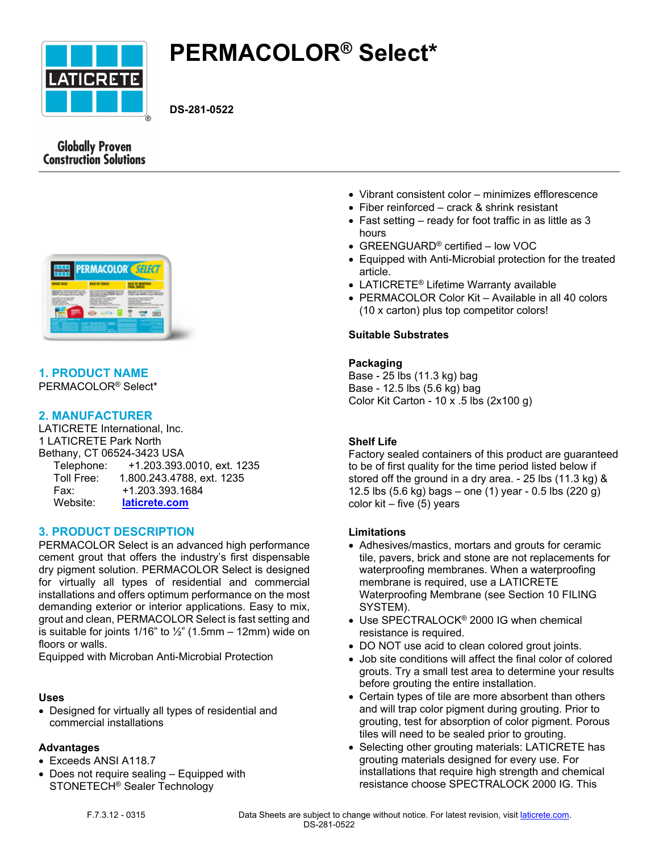

# **PERMACOLOR® Select\***

**DS-281-0522**

# **Globally Proven Construction Solutions**



# **1. PRODUCT NAME**

PERMACOLOR® Select\*

# **2. MANUFACTURER**

LATICRETE International, Inc. 1 LATICRETE Park North Bethany, CT 06524-3423 USA Telephone: +1.203.393.0010, ext. 1235 Toll Free: 1.800.243.4788, ext. 1235 Fax: +1.203.393.1684 Website: **[laticrete.com](https://laticrete.com/)**

# **3. PRODUCT DESCRIPTION**

PERMACOLOR Select is an advanced high performance cement grout that offers the industry's first dispensable dry pigment solution. PERMACOLOR Select is designed for virtually all types of residential and commercial installations and offers optimum performance on the most demanding exterior or interior applications. Easy to mix, grout and clean, PERMACOLOR Select is fast setting and is suitable for joints  $1/16$ " to  $\frac{1}{2}$ " (1.5mm – 12mm) wide on floors or walls.

Equipped with Microban Anti-Microbial Protection

#### **Uses**

• Designed for virtually all types of residential and commercial installations

#### **Advantages**

- Exceeds ANSI A118.7
- Does not require sealing Equipped with STONETECH® Sealer Technology
- Vibrant consistent color minimizes efflorescence
- Fiber reinforced crack & shrink resistant
- Fast setting ready for foot traffic in as little as 3 hours
- GREENGUARD® certified low VOC
- Equipped with Anti-Microbial protection for the treated article.
- LATICRETE® Lifetime Warranty available
- PERMACOLOR Color Kit Available in all 40 colors (10 x carton) plus top competitor colors!

## **Suitable Substrates**

#### **Packaging**

Base - 25 lbs (11.3 kg) bag Base - 12.5 lbs (5.6 kg) bag Color Kit Carton - 10 x .5 lbs (2x100 g)

# **Shelf Life**

Factory sealed containers of this product are guaranteed to be of first quality for the time period listed below if stored off the ground in a dry area. - 25 lbs (11.3 kg) & 12.5 lbs (5.6 kg) bags – one (1) year - 0.5 lbs (220 g) color kit – five (5) years

#### **Limitations**

- Adhesives/mastics, mortars and grouts for ceramic tile, pavers, brick and stone are not replacements for waterproofing membranes. When a waterproofing membrane is required, use a LATICRETE Waterproofing Membrane (see Section 10 FILING SYSTEM).
- Use SPECTRALOCK® 2000 IG when chemical resistance is required.
- DO NOT use acid to clean colored grout joints.
- Job site conditions will affect the final color of colored grouts. Try a small test area to determine your results before grouting the entire installation.
- Certain types of tile are more absorbent than others and will trap color pigment during grouting. Prior to grouting, test for absorption of color pigment. Porous tiles will need to be sealed prior to grouting.
- Selecting other grouting materials: LATICRETE has grouting materials designed for every use. For installations that require high strength and chemical resistance choose SPECTRALOCK 2000 IG. This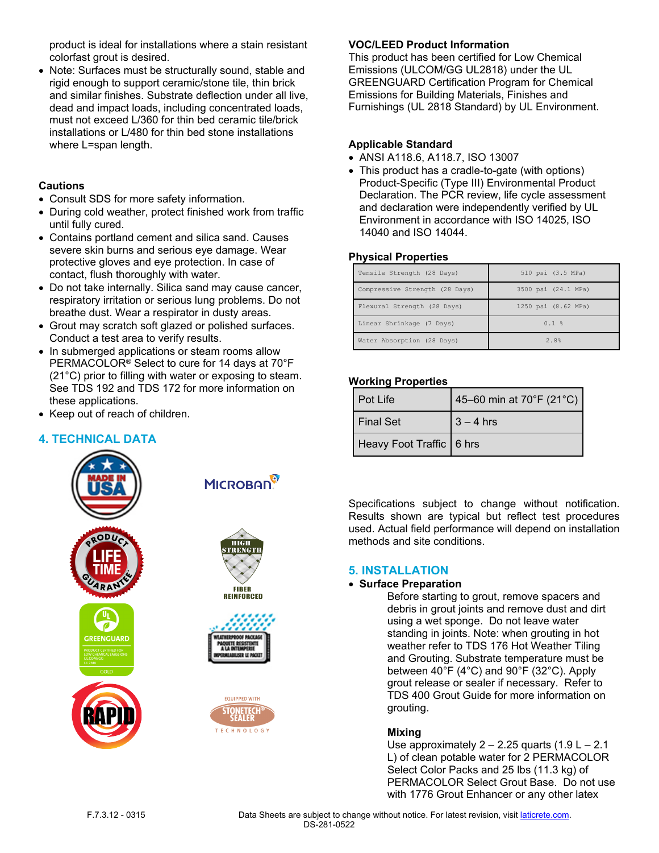product is ideal for installations where a stain resistant colorfast grout is desired.

• Note: Surfaces must be structurally sound, stable and rigid enough to support ceramic/stone tile, thin brick and similar finishes. Substrate deflection under all live, dead and impact loads, including concentrated loads, must not exceed L/360 for thin bed ceramic tile/brick installations or L/480 for thin bed stone installations where L=span length.

## **Cautions**

- Consult SDS for more safety information.
- During cold weather, protect finished work from traffic until fully cured.
- Contains portland cement and silica sand. Causes severe skin burns and serious eye damage. Wear protective gloves and eye protection. In case of contact, flush thoroughly with water.
- Do not take internally. Silica sand may cause cancer, respiratory irritation or serious lung problems. Do not breathe dust. Wear a respirator in dusty areas.
- Grout may scratch soft glazed or polished surfaces. Conduct a test area to verify results.
- In submerged applications or steam rooms allow PERMACOLOR® Select to cure for 14 days at 70°F (21°C) prior to filling with water or exposing to steam. See TDS 192 and TDS 172 for more information on these applications.
- Keep out of reach of children.

# **4. TECHNICAL DATA**



## **VOC/LEED Product Information**

This product has been certified for Low Chemical Emissions (ULCOM/GG UL2818) under the UL GREENGUARD Certification Program for Chemical Emissions for Building Materials, Finishes and Furnishings (UL 2818 Standard) by UL Environment.

#### **Applicable Standard**

- ANSI A118.6, A118.7, ISO 13007
- This product has a cradle-to-gate (with options) Product-Specific (Type III) Environmental Product Declaration. The PCR review, life cycle assessment and declaration were independently verified by UL Environment in accordance with ISO 14025, ISO 14040 and ISO 14044.

#### **Physical Properties**

| Tensile Strength (28 Days)     | 510 psi (3.5 MPa)   |
|--------------------------------|---------------------|
| Compressive Strength (28 Days) | 3500 psi (24.1 MPa) |
| Flexural Strength (28 Days)    | 1250 psi (8.62 MPa) |
| Linear Shrinkage (7 Days)      | 0.1%                |
| Water Absorption (28 Days)     | 2.8%                |

#### **Working Properties**

| l Pot Life               | 45-60 min at 70°F (21°C) |
|--------------------------|--------------------------|
| l Final Set              | $3 - 4$ hrs              |
| Heavy Foot Traffic 6 hrs |                          |

Specifications subject to change without notification. Results shown are typical but reflect test procedures used. Actual field performance will depend on installation methods and site conditions.

#### **5. INSTALLATION**

## • **Surface Preparation**

Before starting to grout, remove spacers and debris in grout joints and remove dust and dirt using a wet sponge. Do not leave water standing in joints. Note: when grouting in hot weather refer to TDS 176 Hot Weather Tiling and Grouting. Substrate temperature must be between 40°F (4°C) and 90°F (32°C). Apply grout release or sealer if necessary. Refer to TDS 400 Grout Guide for more information on grouting.

#### **Mixing**

Use approximately  $2 - 2.25$  quarts  $(1.9 L - 2.1)$ L) of clean potable water for 2 PERMACOLOR Select Color Packs and 25 lbs (11.3 kg) of PERMACOLOR Select Grout Base. Do not use with 1776 Grout Enhancer or any other latex

F.7.3.12 - 0315 Data Sheets are subject to change without notice. For latest revision, visit [laticrete.com.](https://laticrete.com/) DS-281-0522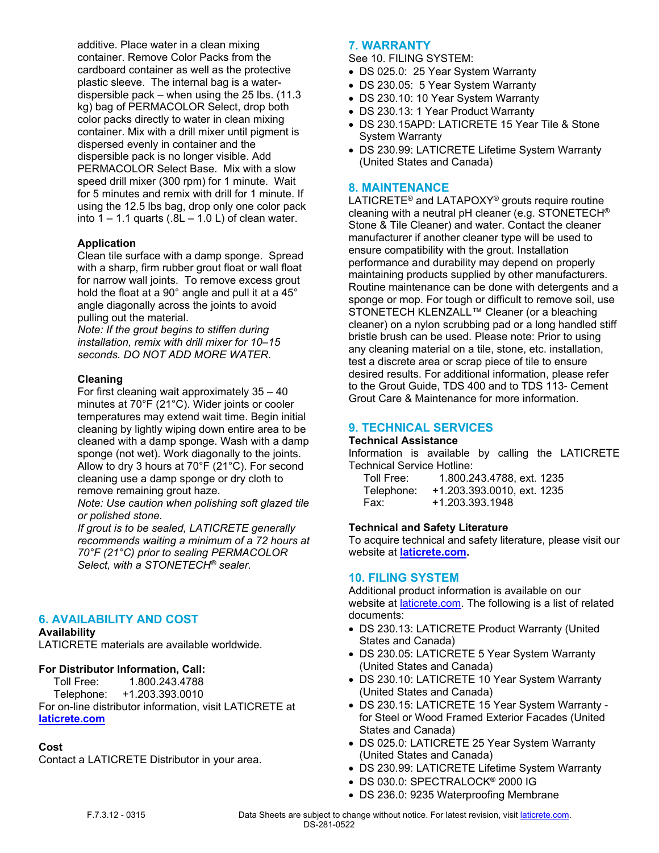additive. Place water in a clean mixing container. Remove Color Packs from the cardboard container as well as the protective plastic sleeve. The internal bag is a waterdispersible pack – when using the 25 lbs. (11.3 kg) bag of PERMACOLOR Select, drop both color packs directly to water in clean mixing container. Mix with a drill mixer until pigment is dispersed evenly in container and the dispersible pack is no longer visible. Add PERMACOLOR Select Base. Mix with a slow speed drill mixer (300 rpm) for 1 minute. Wait for 5 minutes and remix with drill for 1 minute. If using the 12.5 lbs bag, drop only one color pack into  $1 - 1.1$  quarts (.8L  $- 1.0$  L) of clean water.

#### **Application**

Clean tile surface with a damp sponge. Spread with a sharp, firm rubber grout float or wall float for narrow wall joints. To remove excess grout hold the float at a 90° angle and pull it at a 45° angle diagonally across the joints to avoid pulling out the material.

*Note: If the grout begins to stiffen during installation, remix with drill mixer for 10–15 seconds. DO NOT ADD MORE WATER.*

#### **Cleaning**

For first cleaning wait approximately 35 – 40 minutes at 70°F (21°C). Wider joints or cooler temperatures may extend wait time. Begin initial cleaning by lightly wiping down entire area to be cleaned with a damp sponge. Wash with a damp sponge (not wet). Work diagonally to the joints. Allow to dry 3 hours at 70°F (21°C). For second cleaning use a damp sponge or dry cloth to remove remaining grout haze.

*Note: Use caution when polishing soft glazed tile or polished stone.*

*If grout is to be sealed, LATICRETE generally recommends waiting a minimum of a 72 hours at 70°F (21°C) prior to sealing PERMACOLOR Select, with a STONETECH® sealer.*

#### **6. AVAILABILITY AND COST**

#### **Availability**

LATICRETE materials are available worldwide.

#### **For Distributor Information, Call:**

 Toll Free: 1.800.243.4788 Telephone: +1.203.393.0010 For on-line distributor information, visit LATICRETE at **[laticrete.com](https://laticrete.com/)**

#### **Cost**

Contact a LATICRETE Distributor in your area.

#### **7. WARRANTY**

See 10. FILING SYSTEM:

- DS 025.0: 25 Year System Warranty
- DS 230.05: 5 Year System Warranty
- DS 230.10: 10 Year System Warranty
- DS 230.13: 1 Year Product Warranty
- DS 230.15APD: LATICRETE 15 Year Tile & Stone System Warranty
- DS 230.99: LATICRETE Lifetime System Warranty (United States and Canada)

#### **8. MAINTENANCE**

LATICRETE® and LATAPOXY® grouts require routine cleaning with a neutral pH cleaner (e.g. STONETECH® Stone & Tile Cleaner) and water. Contact the cleaner manufacturer if another cleaner type will be used to ensure compatibility with the grout. Installation performance and durability may depend on properly maintaining products supplied by other manufacturers. Routine maintenance can be done with detergents and a sponge or mop. For tough or difficult to remove soil, use STONETECH KLENZALL™ Cleaner (or a bleaching cleaner) on a nylon scrubbing pad or a long handled stiff bristle brush can be used. Please note: Prior to using any cleaning material on a tile, stone, etc. installation, test a discrete area or scrap piece of tile to ensure desired results. For additional information, please refer to the Grout Guide, TDS 400 and to TDS 113- Cement Grout Care & Maintenance for more information.

#### **9. TECHNICAL SERVICES**

#### **Technical Assistance**

Information is available by calling the LATICRETE Technical Service Hotline:

| Toll Free: | 1.800.243.4788, ext. 1235  |
|------------|----------------------------|
| Telephone: | +1.203.393.0010, ext. 1235 |
| Fax:       | +1.203.393.1948            |

#### **Technical and Safety Literature**

To acquire technical and safety literature, please visit our website at **[laticrete.com](https://laticrete.com/).**

#### **10. FILING SYSTEM**

Additional product information is available on our website at *[laticrete.com](https://laticrete.com/).* The following is a list of related documents:

- DS 230.13: LATICRETE Product Warranty (United States and Canada)
- DS 230.05: LATICRETE 5 Year System Warranty (United States and Canada)
- DS 230.10: LATICRETE 10 Year System Warranty (United States and Canada)
- DS 230.15: LATICRETE 15 Year System Warranty for Steel or Wood Framed Exterior Facades (United States and Canada)
- DS 025.0: LATICRETE 25 Year System Warranty (United States and Canada)
- DS 230.99: LATICRETE Lifetime System Warranty
- DS 030.0: SPECTRALOCK® 2000 IG
- DS 236.0: 9235 Waterproofing Membrane

F.7.3.12 - 0315 Data Sheets are subject to change without notice. For latest revision, visit [laticrete.com.](https://laticrete.com/) DS-281-0522